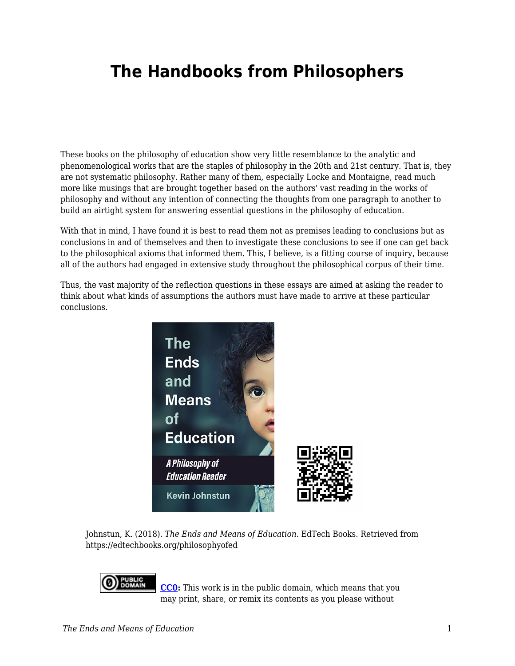## **The Handbooks from Philosophers**

These books on the philosophy of education show very little resemblance to the analytic and phenomenological works that are the staples of philosophy in the 20th and 21st century. That is, they are not systematic philosophy. Rather many of them, especially Locke and Montaigne, read much more like musings that are brought together based on the authors' vast reading in the works of philosophy and without any intention of connecting the thoughts from one paragraph to another to build an airtight system for answering essential questions in the philosophy of education.

With that in mind, I have found it is best to read them not as premises leading to conclusions but as conclusions in and of themselves and then to investigate these conclusions to see if one can get back to the philosophical axioms that informed them. This, I believe, is a fitting course of inquiry, because all of the authors had engaged in extensive study throughout the philosophical corpus of their time.

Thus, the vast majority of the reflection questions in these essays are aimed at asking the reader to think about what kinds of assumptions the authors must have made to arrive at these particular conclusions.



Johnstun, K. (2018). *The Ends and Means of Education*. EdTech Books. Retrieved from https://edtechbooks.org/philosophyofed



**[CC0](https://wiki.creativecommons.org/wiki/Public_domain):** This work is in the public domain, which means that you may print, share, or remix its contents as you please without